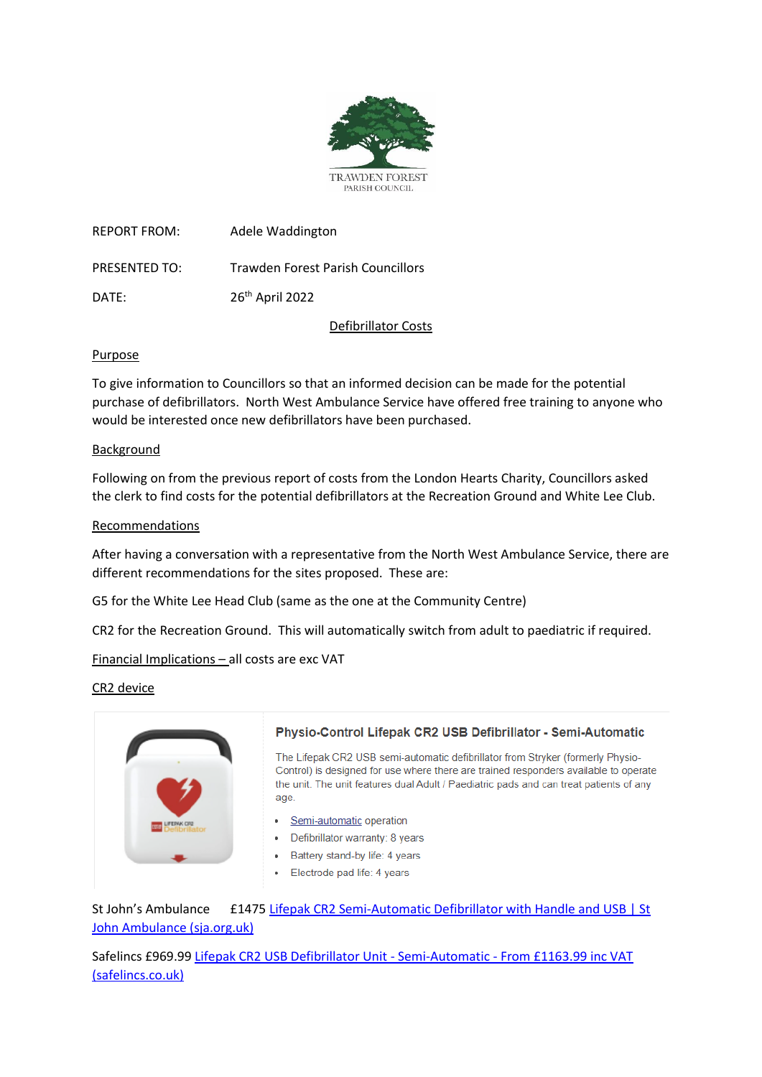

REPORT FROM: Adele Waddington PRESENTED TO: Trawden Forest Parish Councillors DATE: 26<sup>th</sup> April 2022

Defibrillator Costs

# Purpose

To give information to Councillors so that an informed decision can be made for the potential purchase of defibrillators. North West Ambulance Service have offered free training to anyone who would be interested once new defibrillators have been purchased.

## Background

Following on from the previous report of costs from the London Hearts Charity, Councillors asked the clerk to find costs for the potential defibrillators at the Recreation Ground and White Lee Club.

# Recommendations

After having a conversation with a representative from the North West Ambulance Service, there are different recommendations for the sites proposed. These are:

G5 for the White Lee Head Club (same as the one at the Community Centre)

CR2 for the Recreation Ground. This will automatically switch from adult to paediatric if required.

Financial Implications – all costs are exc VAT

## CR2 device



## Physio-Control Lifepak CR2 USB Defibrillator - Semi-Automatic

The Lifepak CR2 USB semi-automatic defibrillator from Stryker (formerly Physio-Control) is designed for use where there are trained responders available to operate the unit. The unit features dual Adult / Paediatric pads and can treat patients of any age.

- · Semi-automatic operation
- Defibrillator warranty: 8 years
- Battery stand-by life: 4 years  $\bullet$
- Electrode pad life: 4 years

St John's Ambulance E1475 Lifepak CR2 Semi-Automatic Defibrillator with Handle and USB | St [John Ambulance \(sja.org.uk\)](https://www.sja.org.uk/first-aid-supplies/defibrillators-accessories-and-training-models/defibrillator-models/lifepak-cr2-semi-automatic-defibrillator-with-handle-and-usb/)

Safelincs £969.99 [Lifepak CR2 USB Defibrillator Unit -](https://www.safelincs.co.uk/lifepak-cr2-usb-semi-automatic-defibrillator-aed-unit/?q=CR2) Semi-Automatic - From £1163.99 inc VAT [\(safelincs.co.uk\)](https://www.safelincs.co.uk/lifepak-cr2-usb-semi-automatic-defibrillator-aed-unit/?q=CR2)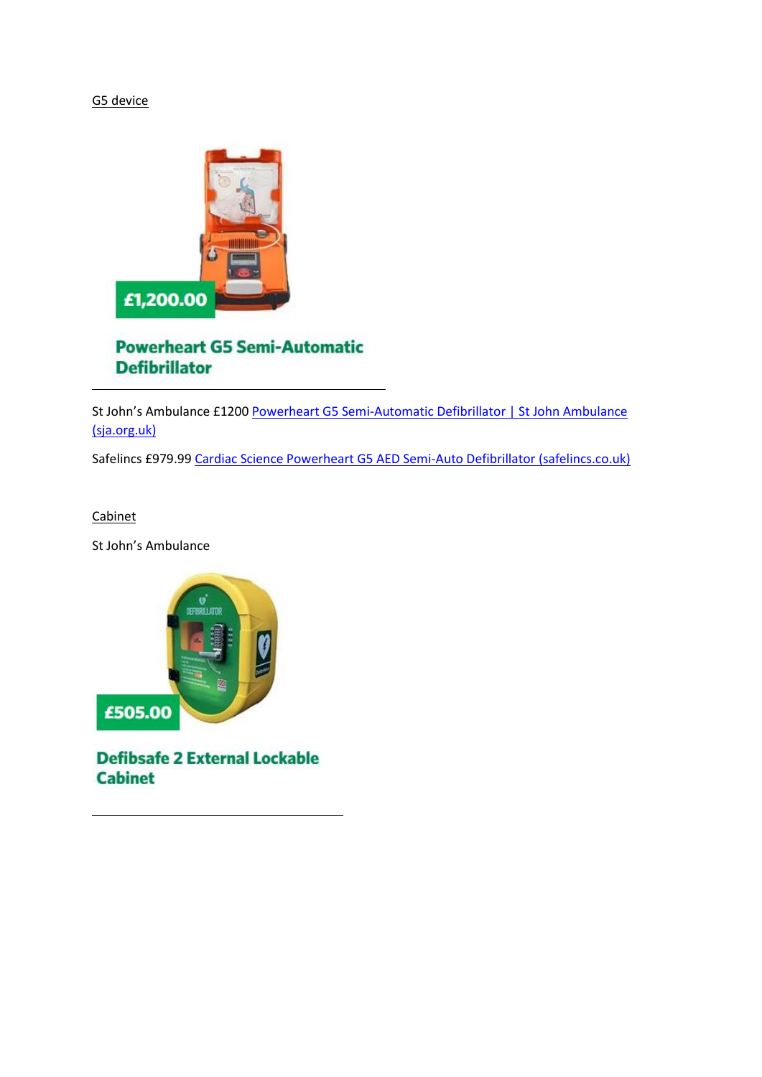# G5 device



# **Powerheart G5 Semi-Automatic Defibrillator**

St John's Ambulance £1200 Powerheart G5 Semi-Automatic Defibrillator | St John Ambulance [\(sja.org.uk\)](https://www.sja.org.uk/first-aid-supplies/defibrillators-accessories-and-training-models/defibrillator-models/Cardiac-Science-PowerHeart-G5-Semi-Automatic-Non-CPRD-Defibrillator/)

Safelincs £979.99 [Cardiac Science Powerheart G5 AED Semi-Auto Defibrillator \(safelincs.co.uk\)](https://www.safelincs.co.uk/powerheart-g5-semi-automatic-aed/?q=g5)

### Cabinet

St John's Ambulance



**Defibsafe 2 External Lockable Cabinet**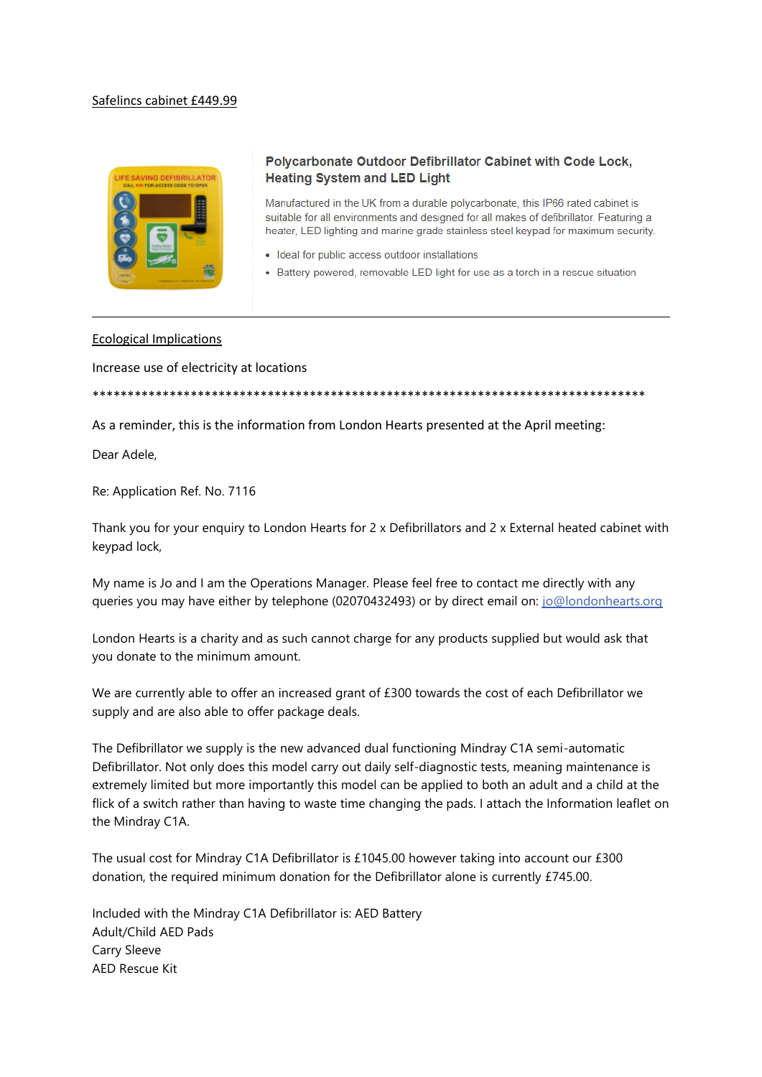### Safelincs cabinet £449.99



### Polycarbonate Outdoor Defibrillator Cabinet with Code Lock, **Heating System and LED Light**

Manufactured in the UK from a durable polycarbonate, this IP66 rated cabinet is suitable for all environments and designed for all makes of defibrillator. Featuring a heater, LED lighting and marine grade stainless steel keypad for maximum security.

- · Ideal for public access outdoor installations
- Battery powered, removable LED light for use as a torch in a rescue situation

#### Ecological Implications

Increase use of electricity at locations

\*\*\*\*\*\*\*\*\*\*\*\*\*\*\*\*\*\*\*\*\*\*\*\*\*\*\*\*\*\*\*\*\*\*\*\*\*\*\*\*\*\*\*\*\*\*\*\*\*\*\*\*\*\*\*\*\*\*\*\*\*\*\*\*\*\*\*\*\*\*\*\*\*\*\*\*\*\*\*

As a reminder, this is the information from London Hearts presented at the April meeting:

Dear Adele,

Re: Application Ref. No. 7116

Thank you for your enquiry to London Hearts for 2 x Defibrillators and 2 x External heated cabinet with keypad lock,

My name is Jo and I am the Operations Manager. Please feel free to contact me directly with any queries you may have either by telephone (02070432493) or by direct email on: [jo@londonhearts.org](mailto:jo@londonhearts.org)

London Hearts is a charity and as such cannot charge for any products supplied but would ask that you donate to the minimum amount.

We are currently able to offer an increased grant of £300 towards the cost of each Defibrillator we supply and are also able to offer package deals.

The Defibrillator we supply is the new advanced dual functioning Mindray C1A semi-automatic Defibrillator. Not only does this model carry out daily self-diagnostic tests, meaning maintenance is extremely limited but more importantly this model can be applied to both an adult and a child at the flick of a switch rather than having to waste time changing the pads. I attach the Information leaflet on the Mindray C1A.

The usual cost for Mindray C1A Defibrillator is £1045.00 however taking into account our £300 donation, the required minimum donation for the Defibrillator alone is currently £745.00.

Included with the Mindray C1A Defibrillator is: AED Battery Adult/Child AED Pads Carry Sleeve AED Rescue Kit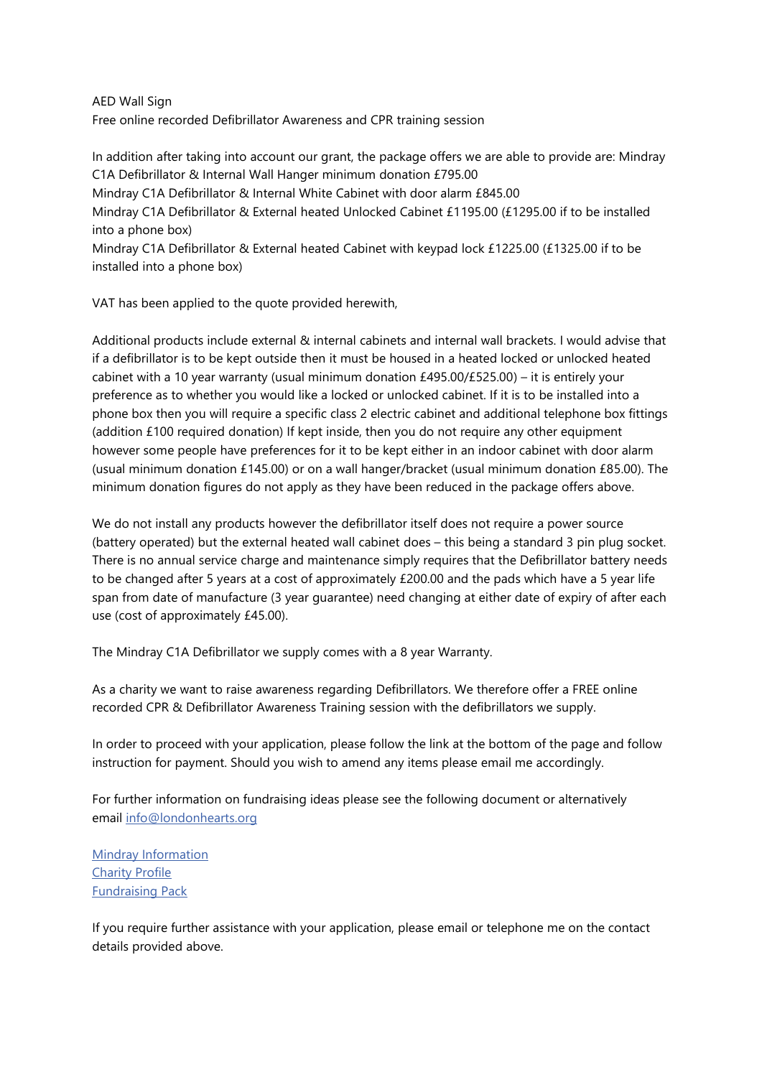AED Wall Sign

Free online recorded Defibrillator Awareness and CPR training session

In addition after taking into account our grant, the package offers we are able to provide are: Mindray C1A Defibrillator & Internal Wall Hanger minimum donation £795.00 Mindray C1A Defibrillator & Internal White Cabinet with door alarm £845.00 Mindray C1A Defibrillator & External heated Unlocked Cabinet £1195.00 (£1295.00 if to be installed into a phone box) Mindray C1A Defibrillator & External heated Cabinet with keypad lock £1225.00 (£1325.00 if to be installed into a phone box)

VAT has been applied to the quote provided herewith,

Additional products include external & internal cabinets and internal wall brackets. I would advise that if a defibrillator is to be kept outside then it must be housed in a heated locked or unlocked heated cabinet with a 10 year warranty (usual minimum donation  $£495.00/£525.00) - it$  it is entirely your preference as to whether you would like a locked or unlocked cabinet. If it is to be installed into a phone box then you will require a specific class 2 electric cabinet and additional telephone box fittings (addition  $£100$  required donation) If kept inside, then you do not require any other equipment however some people have preferences for it to be kept either in an indoor cabinet with door alarm (usual minimum donation £145.00) or on a wall hanger/bracket (usual minimum donation £85.00). The minimum donation figures do not apply as they have been reduced in the package offers above.

We do not install any products however the defibrillator itself does not require a power source (battery operated) but the external heated wall cabinet does – this being a standard 3 pin plug socket. There is no annual service charge and maintenance simply requires that the Defibrillator battery needs to be changed after 5 years at a cost of approximately £200.00 and the pads which have a 5 year life span from date of manufacture (3 year guarantee) need changing at either date of expiry of after each use (cost of approximately £45.00).

The Mindray C1A Defibrillator we supply comes with a 8 year Warranty.

As a charity we want to raise awareness regarding Defibrillators. We therefore offer a FREE online recorded CPR & Defibrillator Awareness Training session with the defibrillators we supply.

In order to proceed with your application, please follow the link at the bottom of the page and follow instruction for payment. Should you wish to amend any items please email me accordingly.

For further information on fundraising ideas please see the following document or alternatively email [info@londonhearts.org](mailto:info@londonhearts.org)

[Mindray Information](https://applications.londonhearts.org/defibdocs/Mindray_C1A_London_Hearts_Brochure.pdf) [Charity](https://applications.londonhearts.org/defibdocs/London_Hearts_Profile_2021-2.pdf) Profile [Fundraising Pack](https://applications.londonhearts.org/defibdocs/New_LH_Fundraising_Pack.pdf)

If you require further assistance with your application, please email or telephone me on the contact details provided above.